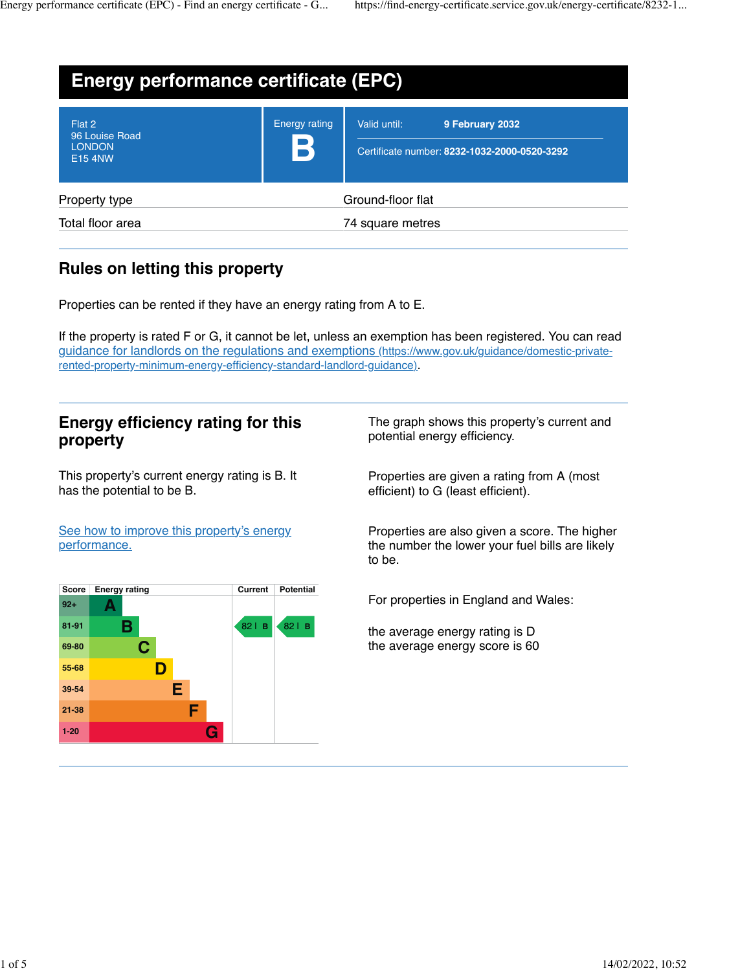| <b>Energy performance certificate (EPC)</b>                 |                           |                                                                                 |
|-------------------------------------------------------------|---------------------------|---------------------------------------------------------------------------------|
| Flat 2<br>96 Louise Road<br><b>LONDON</b><br><b>E15 4NW</b> | <b>Energy rating</b><br>B | Valid until:<br>9 February 2032<br>Certificate number: 8232-1032-2000-0520-3292 |
| Property type                                               |                           | Ground-floor flat                                                               |
| Total floor area                                            | 74 square metres          |                                                                                 |

# **Rules on letting this property**

Properties can be rented if they have an energy rating from A to E.

If the property is rated F or G, it cannot be let, unless an exemption has been registered. You can read [guidance for landlords on the regulations and exemptions \(https://www.gov.uk/guidance/domestic-private](https://www.gov.uk/guidance/domestic-private-rented-property-minimum-energy-efficiency-standard-landlord-guidance)[rented-property-minimum-energy-efficiency-standard-landlord-guidance\)](https://www.gov.uk/guidance/domestic-private-rented-property-minimum-energy-efficiency-standard-landlord-guidance).

### **Energy efficiency rating for this property**

This property's current energy rating is B. It has the potential to be B.

The graph shows this property's current and potential energy efficiency.

Properties are given a rating from A (most efficient) to G (least efficient).

[See how to improve this property's energy](https://find-energy-certificate.service.gov.uk/energy-certificate/8232-1032-2000-0520-3292?print=true#recommendations) [performance.](https://find-energy-certificate.service.gov.uk/energy-certificate/8232-1032-2000-0520-3292?print=true#recommendations)

| <b>Score</b> | <b>Energy rating</b> | Current | <b>Potential</b> |
|--------------|----------------------|---------|------------------|
| $92+$        |                      |         |                  |
| $81 - 91$    | В                    | 82   B  | $82$   B         |
| 69-80        | C.                   |         |                  |
| 55-68        | D                    |         |                  |
| 39-54        | E                    |         |                  |
| $21 - 38$    | F                    |         |                  |
| $1 - 20$     | G                    |         |                  |

Properties are also given a score. The higher the number the lower your fuel bills are likely to be.

For properties in England and Wales:

the average energy rating is D the average energy score is 60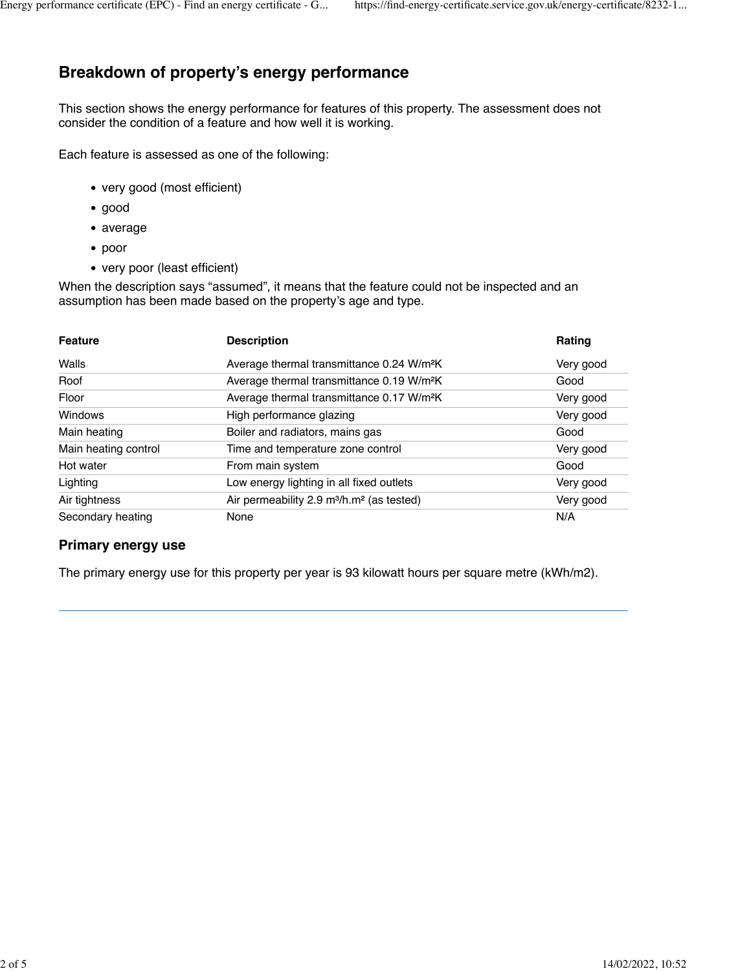# **Breakdown of property's energy performance**

This section shows the energy performance for features of this property. The assessment does not consider the condition of a feature and how well it is working.

Each feature is assessed as one of the following:

- very good (most efficient)
- good
- average
- poor
- very poor (least efficient)

When the description says "assumed", it means that the feature could not be inspected and an assumption has been made based on the property's age and type.

| <b>Feature</b>       | <b>Description</b>                                                | Rating    |
|----------------------|-------------------------------------------------------------------|-----------|
| Walls                | Average thermal transmittance 0.24 W/m <sup>2</sup> K             | Very good |
| Roof                 | Average thermal transmittance 0.19 W/m <sup>2</sup> K             | Good      |
| Floor                | Average thermal transmittance 0.17 W/m <sup>2</sup> K             | Very good |
| Windows              | High performance glazing                                          | Very good |
| Main heating         | Boiler and radiators, mains gas                                   | Good      |
| Main heating control | Time and temperature zone control                                 | Very good |
| Hot water            | From main system                                                  | Good      |
| Lighting             | Low energy lighting in all fixed outlets                          | Very good |
| Air tightness        | Air permeability 2.9 m <sup>3</sup> /h.m <sup>2</sup> (as tested) | Very good |
| Secondary heating    | None                                                              | N/A       |

#### **Primary energy use**

The primary energy use for this property per year is 93 kilowatt hours per square metre (kWh/m2).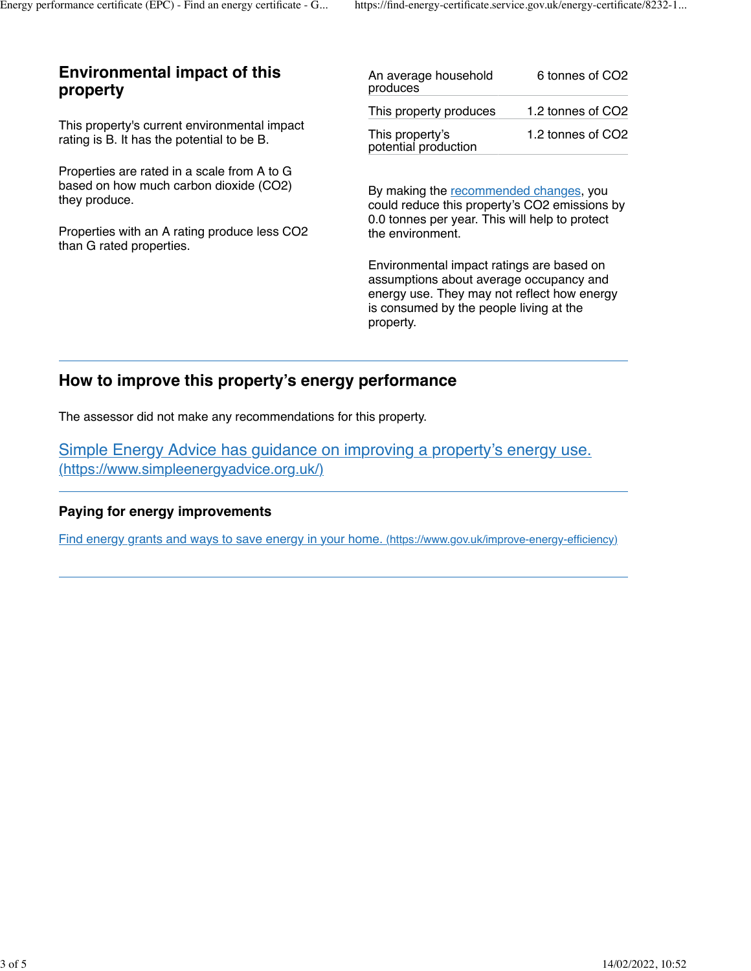### **Environmental impact of this property**

This property's current environmental impact rating is B. It has the potential to be B.

Properties are rated in a scale from A to G based on how much carbon dioxide (CO2) they produce.

Properties with an A rating produce less CO2 than G rated properties.

| An average household<br>produces        | 6 tonnes of CO2   |
|-----------------------------------------|-------------------|
| This property produces                  | 1.2 tonnes of CO2 |
| This property's<br>potential production | 1.2 tonnes of CO2 |

By making the [recommended changes,](https://find-energy-certificate.service.gov.uk/energy-certificate/8232-1032-2000-0520-3292?print=true#recommendations) you could reduce this property's CO2 emissions by 0.0 tonnes per year. This will help to protect the environment.

Environmental impact ratings are based on assumptions about average occupancy and energy use. They may not reflect how energy is consumed by the people living at the property.

## **How to improve this property's energy performance**

The assessor did not make any recommendations for this property.

[Simple Energy Advice has guidance on improving a property's energy use.](https://www.simpleenergyadvice.org.uk/) [\(https://www.simpleenergyadvice.org.uk/\)](https://www.simpleenergyadvice.org.uk/)

### **Paying for energy improvements**

[Find energy grants and ways to save energy in your home. \(https://www.gov.uk/improve-energy-efficiency\)](https://www.gov.uk/improve-energy-efficiency)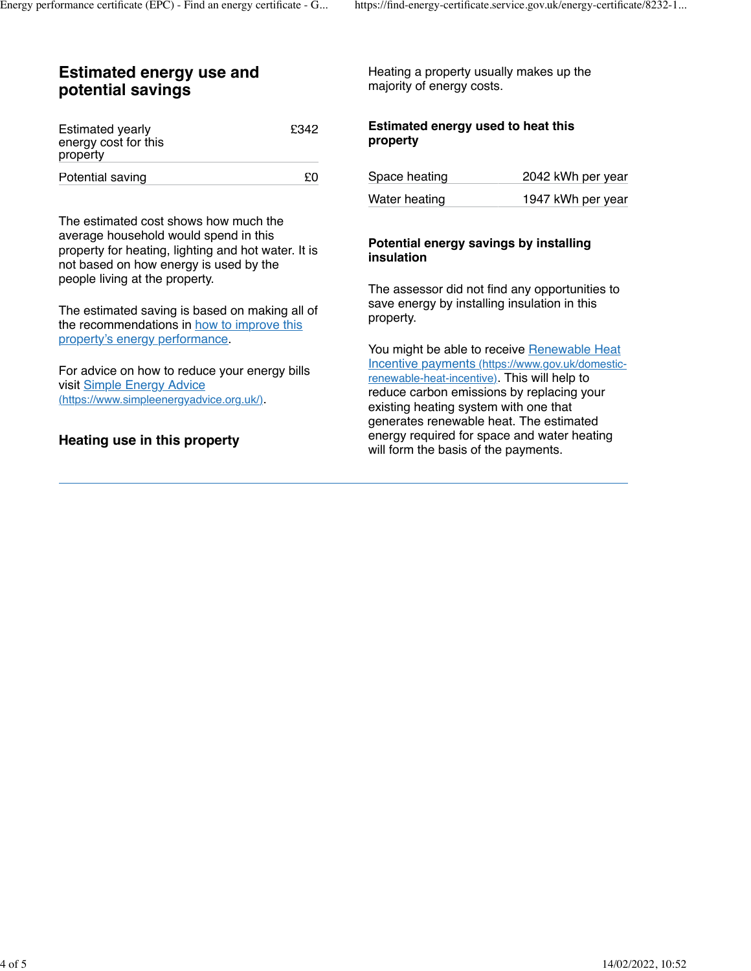### **Estimated energy use and potential savings**

| <b>Estimated yearly</b> | £342 |
|-------------------------|------|
| energy cost for this    |      |
| property                |      |
| Potential saving        | £Ο   |

The estimated cost shows how much the average household would spend in this property for heating, lighting and hot water. It is not based on how energy is used by the people living at the property.

The estimated saving is based on making all of the recommendations in [how to improve this](https://find-energy-certificate.service.gov.uk/energy-certificate/8232-1032-2000-0520-3292?print=true#recommendations) [property's energy performance](https://find-energy-certificate.service.gov.uk/energy-certificate/8232-1032-2000-0520-3292?print=true#recommendations).

For advice on how to reduce your energy bills visit [Simple Energy Advice](https://www.simpleenergyadvice.org.uk/) [\(https://www.simpleenergyadvice.org.uk/\).](https://www.simpleenergyadvice.org.uk/)

### **Heating use in this property**

Heating a property usually makes up the majority of energy costs.

#### **Estimated energy used to heat this property**

| Space heating | 2042 kWh per year |
|---------------|-------------------|
| Water heating | 1947 kWh per year |

#### **Potential energy savings by installing insulation**

The assessor did not find any opportunities to save energy by installing insulation in this property.

You might be able to receive [Renewable Heat](https://www.gov.uk/domestic-renewable-heat-incentive) [Incentive payments \(https://www.gov.uk/domestic](https://www.gov.uk/domestic-renewable-heat-incentive)[renewable-heat-incentive\).](https://www.gov.uk/domestic-renewable-heat-incentive) This will help to reduce carbon emissions by replacing your existing heating system with one that generates renewable heat. The estimated energy required for space and water heating will form the basis of the payments.